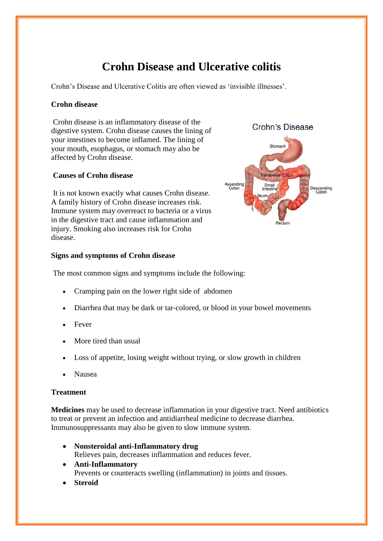# **Crohn Disease and Ulcerative colitis**

Crohn's Disease and Ulcerative Colitis are often viewed as 'invisible illnesses'.

## **Crohn disease**

Crohn disease is an inflammatory disease of the digestive system. Crohn disease causes the lining of your intestines to become inflamed. The lining of your mouth, esophagus, or stomach may also be affected by Crohn disease.

## **Causes of Crohn disease**

It is not known exactly what causes Crohn disease. A family history of Crohn disease increases risk. Immune system may overreact to bacteria or a virus in the digestive tract and cause inflammation and injury. Smoking also increases risk for Crohn disease.

#### **Signs and symptoms of Crohn disease**

The most common signs and symptoms include the following:

- Cramping pain on the lower right side of abdomen
- Diarrhea that may be dark or tar-colored, or blood in your bowel movements
- Fever
- More tired than usual
- Loss of appetite, losing weight without trying, or slow growth in children
- Nausea

#### **Treatment**

**Medicines** may be used to decrease inflammation in your digestive tract. Need antibiotics to treat or prevent an infection and antidiarrheal medicine to decrease diarrhea. Immunosuppressants may also be given to slow immune system.

- **[Nonsteroidal anti-Inflammatory drug](https://www.google.co.in/search?newwindow=1&site=async/health_imex_contents&q=crohn%27s+disease+nonsteroidal+anti-inflammatory+drug&stick=H4sIAAAAAAAAAOMQFeLQz9U3yDDMs1QCs0yzCit3MTEaAADyVdj0GgAAAA&sa=X&ved=0ahUKEwjkqpS4zOPXAhXFvI8KHcf3B38Q0EAIBQ)** Relieves pain, decreases inflammation and reduces fever.
- **[Anti-Inflammatory](https://www.google.co.in/search?newwindow=1&site=async/health_imex_contents&q=crohn%27s+disease+anti-inflammatory&stick=H4sIAAAAAAAAAOMQFeLQz9U3yDDMs1TiBLGMTeOLkncxMRoAAGad8qgbAAAA&sa=X&ved=0ahUKEwjkqpS4zOPXAhXFvI8KHcf3B38Q0EAIBg)** Prevents or counteracts swelling (inflammation) in joints and tissues.
- **[Steroid](https://www.google.co.in/search?newwindow=1&site=async/health_imex_contents&q=crohn%27s+disease+steroid&stick=H4sIAAAAAAAAAOMQFeLQz9U3yDDMs1TiBLEMDctN83YxMRoAAIQy0RQbAAAA&sa=X&ved=0ahUKEwjkqpS4zOPXAhXFvI8KHcf3B38Q0EAIBw)**